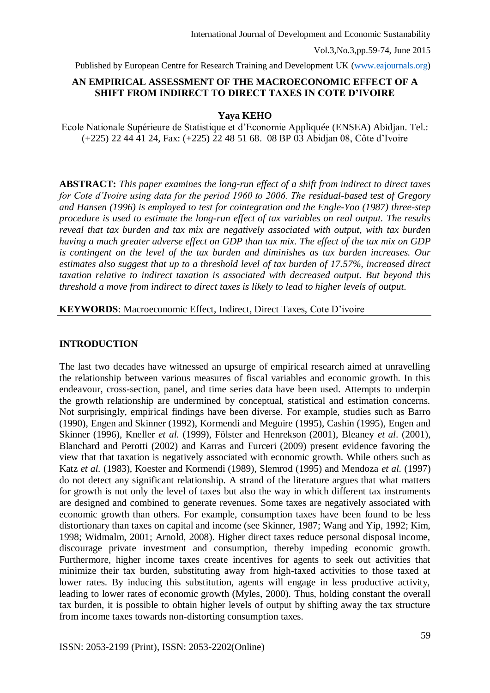Published by European Centre for Research Training and Development UK [\(www.eajournals.org\)](http://www.eajournals.org/)

# **AN EMPIRICAL ASSESSMENT OF THE MACROECONOMIC EFFECT OF A SHIFT FROM INDIRECT TO DIRECT TAXES IN COTE D'IVOIRE**

**Yaya KEHO**

Ecole Nationale Supérieure de Statistique et d'Economie Appliquée (ENSEA) Abidjan. Tel.: (+225) 22 44 41 24, Fax: (+225) 22 48 51 68. 08 BP 03 Abidjan 08, Côte d'Ivoire

**ABSTRACT:** *This paper examines the long-run effect of a shift from indirect to direct taxes for Cote d'Ivoire using data for the period 1960 to 2006. The residual-based test of Gregory and Hansen (1996) is employed to test for cointegration and the Engle-Yoo (1987) three-step procedure is used to estimate the long-run effect of tax variables on real output. The results reveal that tax burden and tax mix are negatively associated with output, with tax burden having a much greater adverse effect on GDP than tax mix. The effect of the tax mix on GDP is contingent on the level of the tax burden and diminishes as tax burden increases. Our estimates also suggest that up to a threshold level of tax burden of 17.57%, increased direct taxation relative to indirect taxation is associated with decreased output. But beyond this threshold a move from indirect to direct taxes is likely to lead to higher levels of output*.

## **KEYWORDS**: Macroeconomic Effect, Indirect, Direct Taxes, Cote D'ivoire

## **INTRODUCTION**

The last two decades have witnessed an upsurge of empirical research aimed at unravelling the relationship between various measures of fiscal variables and economic growth. In this endeavour, cross-section, panel, and time series data have been used. Attempts to underpin the growth relationship are undermined by conceptual, statistical and estimation concerns. Not surprisingly, empirical findings have been diverse. For example, studies such as Barro (1990), Engen and Skinner (1992), Kormendi and Meguire (1995), Cashin (1995), Engen and Skinner (1996), Kneller *et al.* (1999), Fölster and Henrekson (2001), Bleaney *et al*. (2001), Blanchard and Perotti (2002) and Karras and Furceri (2009) present evidence favoring the view that that taxation is negatively associated with economic growth. While others such as Katz *et al.* (1983), Koester and Kormendi (1989), Slemrod (1995) and Mendoza *et al.* (1997) do not detect any significant relationship. A strand of the literature argues that what matters for growth is not only the level of taxes but also the way in which different tax instruments are designed and combined to generate revenues. Some taxes are negatively associated with economic growth than others. For example, consumption taxes have been found to be less distortionary than taxes on capital and income (see Skinner, 1987; Wang and Yip, 1992; Kim, 1998; Widmalm, 2001; Arnold, 2008). Higher direct taxes reduce personal disposal income, discourage private investment and consumption, thereby impeding economic growth. Furthermore, higher income taxes create incentives for agents to seek out activities that minimize their tax burden, substituting away from high-taxed activities to those taxed at lower rates. By inducing this substitution, agents will engage in less productive activity, leading to lower rates of economic growth (Myles, 2000). Thus, holding constant the overall tax burden, it is possible to obtain higher levels of output by shifting away the tax structure from income taxes towards non-distorting consumption taxes.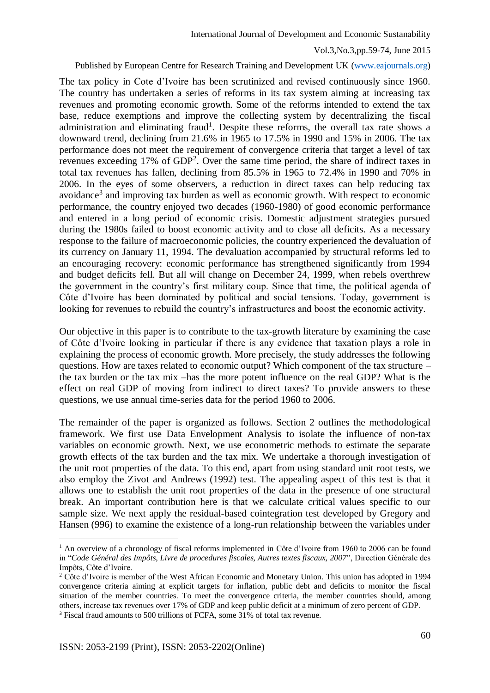#### Published by European Centre for Research Training and Development UK [\(www.eajournals.org\)](http://www.eajournals.org/)

The tax policy in Cote d'Ivoire has been scrutinized and revised continuously since 1960. The country has undertaken a series of reforms in its tax system aiming at increasing tax revenues and promoting economic growth. Some of the reforms intended to extend the tax base, reduce exemptions and improve the collecting system by decentralizing the fiscal administration and eliminating fraud<sup>1</sup>. Despite these reforms, the overall tax rate shows a downward trend, declining from 21.6% in 1965 to 17.5% in 1990 and 15% in 2006. The tax performance does not meet the requirement of convergence criteria that target a level of tax revenues exceeding 17% of GDP<sup>2</sup>. Over the same time period, the share of indirect taxes in total tax revenues has fallen, declining from 85.5% in 1965 to 72.4% in 1990 and 70% in 2006. In the eyes of some observers, a reduction in direct taxes can help reducing tax avoidance<sup>3</sup> and improving tax burden as well as economic growth. With respect to economic performance, the country enjoyed two decades (1960-1980) of good economic performance and entered in a long period of economic crisis. Domestic adjustment strategies pursued during the 1980s failed to boost economic activity and to close all deficits. As a necessary response to the failure of macroeconomic policies, the country experienced the devaluation of its currency on January 11, 1994. The devaluation accompanied by structural reforms led to an encouraging recovery: economic performance has strengthened significantly from 1994 and budget deficits fell. But all will change on December 24, 1999, when rebels overthrew the government in the country's first military coup. Since that time, the political agenda of Côte d'Ivoire has been dominated by political and social tensions. Today, government is looking for revenues to rebuild the country's infrastructures and boost the economic activity.

Our objective in this paper is to contribute to the tax-growth literature by examining the case of Côte d'Ivoire looking in particular if there is any evidence that taxation plays a role in explaining the process of economic growth. More precisely, the study addresses the following questions. How are taxes related to economic output? Which component of the tax structure – the tax burden or the tax mix –has the more potent influence on the real GDP? What is the effect on real GDP of moving from indirect to direct taxes? To provide answers to these questions, we use annual time-series data for the period 1960 to 2006.

The remainder of the paper is organized as follows. Section 2 outlines the methodological framework. We first use Data Envelopment Analysis to isolate the influence of non-tax variables on economic growth. Next, we use econometric methods to estimate the separate growth effects of the tax burden and the tax mix. We undertake a thorough investigation of the unit root properties of the data. To this end, apart from using standard unit root tests, we also employ the Zivot and Andrews (1992) test. The appealing aspect of this test is that it allows one to establish the unit root properties of the data in the presence of one structural break. An important contribution here is that we calculate critical values specific to our sample size. We next apply the residual-based cointegration test developed by Gregory and Hansen (996) to examine the existence of a long-run relationship between the variables under

<u>.</u>

<sup>&</sup>lt;sup>1</sup> An overview of a chronology of fiscal reforms implemented in Côte d'Ivoire from 1960 to 2006 can be found in "*Code Général des Impôts, Livre de procedures fiscales, Autres textes fiscaux, 2007*", Direction Générale des Impôts, Côte d'Ivoire.

<sup>&</sup>lt;sup>2</sup> Côte d'Ivoire is member of the West African Economic and Monetary Union. This union has adopted in 1994 convergence criteria aiming at explicit targets for inflation, public debt and deficits to monitor the fiscal situation of the member countries. To meet the convergence criteria, the member countries should, among others, increase tax revenues over 17% of GDP and keep public deficit at a minimum of zero percent of GDP. <sup>3</sup> Fiscal fraud amounts to 500 trillions of FCFA, some 31% of total tax revenue.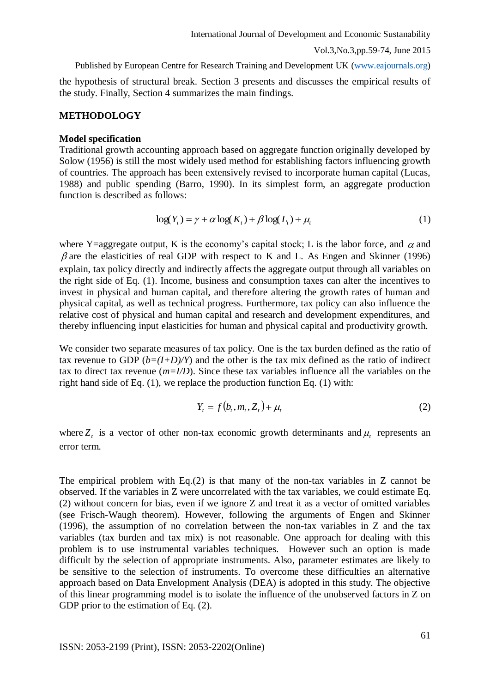#### Published by European Centre for Research Training and Development UK [\(www.eajournals.org\)](http://www.eajournals.org/)

the hypothesis of structural break. Section 3 presents and discusses the empirical results of the study. Finally, Section 4 summarizes the main findings.

## **METHODOLOGY**

### **Model specification**

Traditional growth accounting approach based on aggregate function originally developed by Solow (1956) is still the most widely used method for establishing factors influencing growth of countries. The approach has been extensively revised to incorporate human capital (Lucas, 1988) and public spending (Barro, 1990). In its simplest form, an aggregate production function is described as follows:

$$
\log(Y_t) = \gamma + \alpha \log(K_t) + \beta \log(L_t) + \mu_t \tag{1}
$$

where Y=aggregate output, K is the economy's capital stock; L is the labor force, and  $\alpha$  and  $\beta$  are the elasticities of real GDP with respect to K and L. As Engen and Skinner (1996) explain, tax policy directly and indirectly affects the aggregate output through all variables on the right side of Eq. (1). Income, business and consumption taxes can alter the incentives to invest in physical and human capital, and therefore altering the growth rates of human and physical capital, as well as technical progress. Furthermore, tax policy can also influence the relative cost of physical and human capital and research and development expenditures, and thereby influencing input elasticities for human and physical capital and productivity growth.

We consider two separate measures of tax policy. One is the tax burden defined as the ratio of tax revenue to GDP  $(b=(I+D)/Y)$  and the other is the tax mix defined as the ratio of indirect tax to direct tax revenue (*m=I/D*). Since these tax variables influence all the variables on the right hand side of Eq. (1), we replace the production function Eq. (1) with:

$$
Y_t = f(b_t, m_t, Z_t) + \mu_t \tag{2}
$$

where  $Z_t$  is a vector of other non-tax economic growth determinants and  $\mu_t$  represents an error term.

The empirical problem with Eq.(2) is that many of the non-tax variables in Z cannot be observed. If the variables in Z were uncorrelated with the tax variables, we could estimate Eq. (2) without concern for bias, even if we ignore Z and treat it as a vector of omitted variables (see Frisch-Waugh theorem). However, following the arguments of Engen and Skinner (1996), the assumption of no correlation between the non-tax variables in Z and the tax variables (tax burden and tax mix) is not reasonable. One approach for dealing with this problem is to use instrumental variables techniques. However such an option is made difficult by the selection of appropriate instruments. Also, parameter estimates are likely to be sensitive to the selection of instruments. To overcome these difficulties an alternative approach based on Data Envelopment Analysis (DEA) is adopted in this study. The objective of this linear programming model is to isolate the influence of the unobserved factors in Z on GDP prior to the estimation of Eq.  $(2)$ .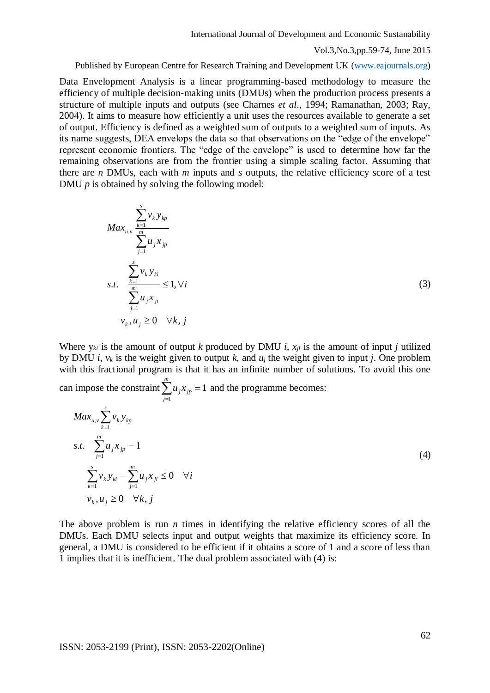Published by European Centre for Research Training and Development UK [\(www.eajournals.org\)](http://www.eajournals.org/)

Data Envelopment Analysis is a linear programming-based methodology to measure the efficiency of multiple decision-making units (DMUs) when the production process presents a structure of multiple inputs and outputs (see Charnes *et al*., 1994; Ramanathan, 2003; Ray, 2004). It aims to measure how efficiently a unit uses the resources available to generate a set of output. Efficiency is defined as a weighted sum of outputs to a weighted sum of inputs. As its name suggests, DEA envelops the data so that observations on the "edge of the envelope" represent economic frontiers. The "edge of the envelope" is used to determine how far the remaining observations are from the frontier using a simple scaling factor. Assuming that there are *n* DMUs, each with *m* inputs and *s* outputs, the relative efficiency score of a test DMU  $p$  is obtained by solving the following model:

$$
Max_{u,v} \frac{\sum_{k=1}^{s} v_k y_{kp}}{\sum_{j=1}^{m} u_j x_{jp}}
$$
  
s.t. 
$$
\frac{\sum_{k=1}^{s} v_k y_{ki}}{\sum_{j=1}^{m} u_j x_{ji}} \le 1, \forall i
$$
  

$$
v_k, u_j \ge 0 \quad \forall k, j
$$
  
(3)

Where  $y_{ki}$  is the amount of output *k* produced by DMU *i*,  $x_{ii}$  is the amount of input *j* utilized by DMU *i*,  $v_k$  is the weight given to output *k*, and  $u_i$  the weight given to input *j*. One problem with this fractional program is that it has an infinite number of solutions. To avoid this one *m*

can impose the constraint  $\sum u_i x_{in} = 1$  $\sum_{j=1} u_j x_{jp} =$ *j*  $u_j x_{jp} = 1$  and the programme becomes:

*s*

$$
Max_{u,v} \sum_{k=1}^{m} v_k y_{kp}
$$
  
s.t. 
$$
\sum_{j=1}^{m} u_j x_{jp} = 1
$$
  

$$
\sum_{k=1}^{s} v_k y_{ki} - \sum_{j=1}^{m} u_j x_{ji} \le 0 \quad \forall i
$$
  

$$
v_k, u_j \ge 0 \quad \forall k, j
$$
 (4)

The above problem is run *n* times in identifying the relative efficiency scores of all the DMUs. Each DMU selects input and output weights that maximize its efficiency score. In general, a DMU is considered to be efficient if it obtains a score of 1 and a score of less than 1 implies that it is inefficient. The dual problem associated with (4) is: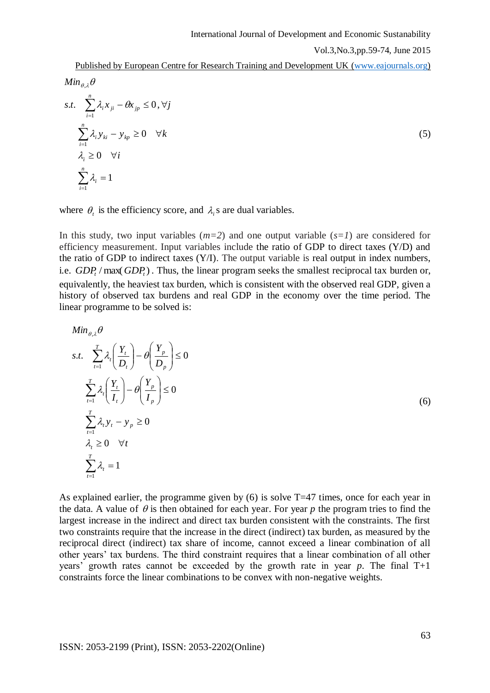Published by European Centre for Research Training and Development UK [\(www.eajournals.org\)](http://www.eajournals.org/)

$$
Min_{\theta,\lambda} \theta
$$
  
s.t. 
$$
\sum_{i=1}^{n} \lambda_i x_{ji} - \theta x_{jp} \le 0, \forall j
$$

$$
\sum_{i=1}^{n} \lambda_i y_{ki} - y_{kp} \ge 0 \quad \forall k
$$

$$
\lambda_i \ge 0 \quad \forall i
$$

$$
\sum_{i=1}^{n} \lambda_i = 1
$$
 (5)

where  $\theta_i$  is the efficiency score, and  $\lambda_i$  s are dual variables.

In this study, two input variables  $(m=2)$  and one output variable  $(s=1)$  are considered for efficiency measurement. Input variables include the ratio of GDP to direct taxes (Y/D) and the ratio of GDP to indirect taxes  $(Y/I)$ . The output variable is real output in index numbers, i.e.  $GDP<sub>t</sub>$  / max( $GDP<sub>t</sub>$ ). Thus, the linear program seeks the smallest reciprocal tax burden or, equivalently, the heaviest tax burden, which is consistent with the observed real GDP, given a history of observed tax burdens and real GDP in the economy over the time period. The linear programme to be solved is:

$$
Min_{\theta,\lambda} \theta
$$
  
s.t. 
$$
\sum_{t=1}^{T} \lambda_{t} \left( \frac{Y_{t}}{D_{t}} \right) - \theta \left( \frac{Y_{p}}{D_{p}} \right) \le 0
$$
  

$$
\sum_{t=1}^{T} \lambda_{t} \left( \frac{Y_{t}}{I_{t}} \right) - \theta \left( \frac{Y_{p}}{I_{p}} \right) \le 0
$$
  

$$
\sum_{t=1}^{T} \lambda_{t} y_{t} - y_{p} \ge 0
$$
  

$$
\lambda_{t} \ge 0 \quad \forall t
$$
  

$$
\sum_{t=1}^{T} \lambda_{t} = 1
$$
 (6)

As explained earlier, the programme given by  $(6)$  is solve T=47 times, once for each year in the data. A value of  $\theta$  is then obtained for each year. For year  $p$  the program tries to find the largest increase in the indirect and direct tax burden consistent with the constraints. The first two constraints require that the increase in the direct (indirect) tax burden, as measured by the reciprocal direct (indirect) tax share of income, cannot exceed a linear combination of all other years' tax burdens. The third constraint requires that a linear combination of all other years' growth rates cannot be exceeded by the growth rate in year *p*. The final T+1 constraints force the linear combinations to be convex with non-negative weights.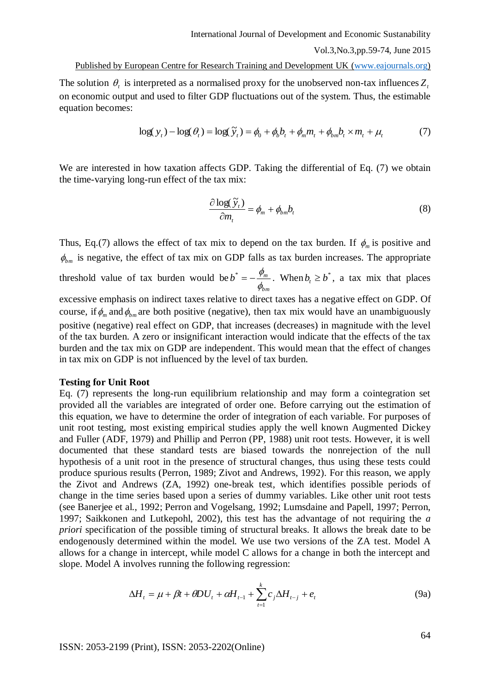Published by European Centre for Research Training and Development UK [\(www.eajournals.org\)](http://www.eajournals.org/)

The solution  $\theta_t$  is interpreted as a normalised proxy for the unobserved non-tax influences  $Z_t$ on economic output and used to filter GDP fluctuations out of the system. Thus, the estimable equation becomes:

$$
\log(y_t) - \log(\theta_t) = \log(\widetilde{y}_t) = \phi_0 + \phi_b b_t + \phi_m m_t + \phi_{bm} b_t \times m_t + \mu_t \tag{7}
$$

We are interested in how taxation affects GDP. Taking the differential of Eq. (7) we obtain the time-varying long-run effect of the tax mix:

$$
\frac{\partial \log(\widetilde{y}_t)}{\partial m_t} = \phi_m + \phi_{bm} b_t \tag{8}
$$

Thus, Eq.(7) allows the effect of tax mix to depend on the tax burden. If  $\phi_m$  is positive and  $\phi_{bm}$  is negative, the effect of tax mix on GDP falls as tax burden increases. The appropriate threshold value of tax burden would be *bm*  $b^* = -\frac{\varphi_m}{a}$  $\phi$  $\psi^* = -\frac{\phi_m}{\phi}$ . When  $b_t \geq b^*$ , a tax mix that places excessive emphasis on indirect taxes relative to direct taxes has a negative effect on GDP. Of course, if  $\phi_m$  and  $\phi_{bm}$  are both positive (negative), then tax mix would have an unambiguously positive (negative) real effect on GDP, that increases (decreases) in magnitude with the level

of the tax burden. A zero or insignificant interaction would indicate that the effects of the tax burden and the tax mix on GDP are independent. This would mean that the effect of changes in tax mix on GDP is not influenced by the level of tax burden.

#### **Testing for Unit Root**

Eq. (7) represents the long-run equilibrium relationship and may form a cointegration set provided all the variables are integrated of order one. Before carrying out the estimation of this equation, we have to determine the order of integration of each variable. For purposes of unit root testing, most existing empirical studies apply the well known Augmented Dickey and Fuller (ADF, 1979) and Phillip and Perron (PP, 1988) unit root tests. However, it is well documented that these standard tests are biased towards the nonrejection of the null hypothesis of a unit root in the presence of structural changes, thus using these tests could produce spurious results (Perron, 1989; Zivot and Andrews, 1992). For this reason, we apply the Zivot and Andrews (ZA, 1992) one-break test, which identifies possible periods of change in the time series based upon a series of dummy variables. Like other unit root tests (see Banerjee et al., 1992; Perron and Vogelsang, 1992; Lumsdaine and Papell, 1997; Perron, 1997; Saikkonen and Lutkepohl, 2002), this test has the advantage of not requiring the *a priori* specification of the possible timing of structural breaks. It allows the break date to be endogenously determined within the model. We use two versions of the ZA test. Model A allows for a change in intercept, while model C allows for a change in both the intercept and slope. Model A involves running the following regression:

$$
\Delta H_t = \mu + \beta t + \theta D U_t + \alpha H_{t-1} + \sum_{t=1}^k c_j \Delta H_{t-j} + e_t
$$
\n(9a)

ISSN: 2053-2199 (Print), ISSN: 2053-2202(Online)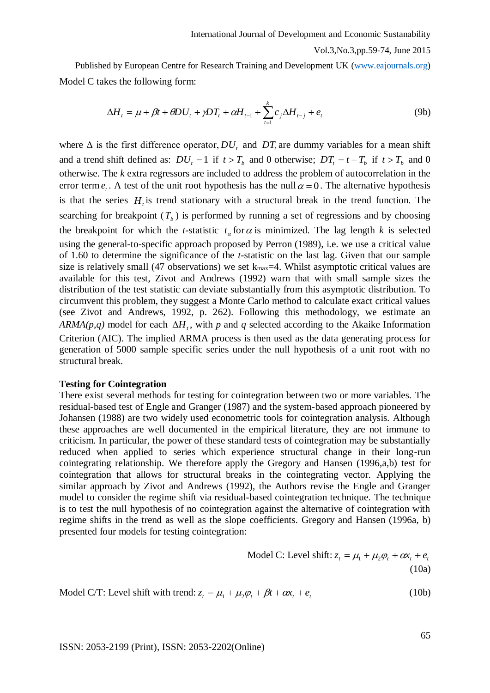Published by European Centre for Research Training and Development UK [\(www.eajournals.org\)](http://www.eajournals.org/) Model C takes the following form:

$$
\Delta H_t = \mu + \beta t + \theta D U_t + \gamma D T_t + \alpha H_{t-1} + \sum_{t=1}^k c_j \Delta H_{t-j} + e_t
$$
\n(9b)

where  $\Delta$  is the first difference operator,  $DU_t$  and  $DT_t$  are dummy variables for a mean shift and a trend shift defined as:  $DU_t = 1$  if  $t > T_b$  and 0 otherwise;  $DT_t = t - T_b$  if  $t > T_b$  and 0 otherwise. The *k* extra regressors are included to address the problem of autocorrelation in the error term  $e_t$ . A test of the unit root hypothesis has the null  $\alpha = 0$ . The alternative hypothesis is that the series  $H<sub>t</sub>$  is trend stationary with a structural break in the trend function. The searching for breakpoint  $(T_b)$  is performed by running a set of regressions and by choosing the breakpoint for which the *t*-statistic  $t_a$  for  $\alpha$  is minimized. The lag length *k* is selected using the general-to-specific approach proposed by Perron (1989), i.e. we use a critical value of 1.60 to determine the significance of the *t*-statistic on the last lag. Given that our sample size is relatively small (47 observations) we set  $k_{max}=4$ . Whilst asymptotic critical values are available for this test, Zivot and Andrews (1992) warn that with small sample sizes the distribution of the test statistic can deviate substantially from this asymptotic distribution. To circumvent this problem, they suggest a Monte Carlo method to calculate exact critical values (see Zivot and Andrews, 1992, p. 262). Following this methodology, we estimate an  $ARMA(p,q)$  model for each  $\Delta H_t$ , with p and q selected according to the Akaike Information Criterion (AIC). The implied ARMA process is then used as the data generating process for generation of 5000 sample specific series under the null hypothesis of a unit root with no structural break.

#### **Testing for Cointegration**

There exist several methods for testing for cointegration between two or more variables. The residual-based test of Engle and Granger (1987) and the system-based approach pioneered by Johansen (1988) are two widely used econometric tools for cointegration analysis. Although these approaches are well documented in the empirical literature, they are not immune to criticism. In particular, the power of these standard tests of cointegration may be substantially reduced when applied to series which experience structural change in their long-run cointegrating relationship. We therefore apply the Gregory and Hansen (1996,a,b) test for cointegration that allows for structural breaks in the cointegrating vector. Applying the similar approach by Zivot and Andrews (1992), the Authors revise the Engle and Granger model to consider the regime shift via residual-based cointegration technique. The technique is to test the null hypothesis of no cointegration against the alternative of cointegration with regime shifts in the trend as well as the slope coefficients. Gregory and Hansen (1996a, b) presented four models for testing cointegration:

Model C: Level shift: 
$$
z_t = \mu_1 + \mu_2 \varphi_t + \alpha x_t + e_t
$$
  
(10a)

Model C/T: Level shift with trend:  $z_t = \mu_1 + \mu_2 \varphi_t + \beta t + \alpha x_t + e_t$ (10b)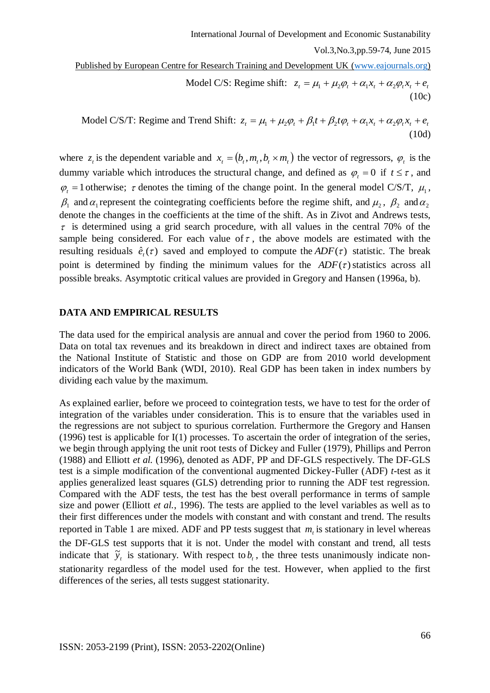Published by European Centre for Research Training and Development UK [\(www.eajournals.org\)](http://www.eajournals.org/)

Model C/S: Regime shift:  $z_t = \mu_1 + \mu_2 \varphi_t + \alpha_1 x_t + \alpha_2 \varphi_t x_t + e_t$ (10c)

Model C/S/T: Regime and Trend Shift:  $z_t = \mu_1 + \mu_2 \varphi_t + \beta_1 t + \beta_2 t \varphi_t + \alpha_1 x_t + \alpha_2 \varphi_t x_t + \varphi_t$ (10d)

where  $z_t$  is the dependent variable and  $x_t = (b_t, m_t, b_t \times m_t)$  the vector of regressors,  $\varphi_t$  is the dummy variable which introduces the structural change, and defined as  $\varphi_t = 0$  if  $t \leq \tau$ , and  $\varphi_t = 1$  otherwise;  $\tau$  denotes the timing of the change point. In the general model C/S/T,  $\mu_1$ ,  $\beta_1$  and  $\alpha_1$  represent the cointegrating coefficients before the regime shift, and  $\mu_2$ ,  $\beta_2$  and  $\alpha_2$ denote the changes in the coefficients at the time of the shift. As in Zivot and Andrews tests,  $\tau$  is determined using a grid search procedure, with all values in the central 70% of the sample being considered. For each value of  $\tau$ , the above models are estimated with the resulting residuals  $\hat{e}_i(\tau)$  saved and employed to compute the  $ADF(\tau)$  statistic. The break point is determined by finding the minimum values for the  $ADF(\tau)$  statistics across all possible breaks. Asymptotic critical values are provided in Gregory and Hansen (1996a, b).

#### **DATA AND EMPIRICAL RESULTS**

The data used for the empirical analysis are annual and cover the period from 1960 to 2006. Data on total tax revenues and its breakdown in direct and indirect taxes are obtained from the National Institute of Statistic and those on GDP are from 2010 world development indicators of the World Bank (WDI, 2010). Real GDP has been taken in index numbers by dividing each value by the maximum.

As explained earlier, before we proceed to cointegration tests, we have to test for the order of integration of the variables under consideration. This is to ensure that the variables used in the regressions are not subject to spurious correlation. Furthermore the Gregory and Hansen (1996) test is applicable for I(1) processes. To ascertain the order of integration of the series, we begin through applying the unit root tests of Dickey and Fuller (1979), Phillips and Perron (1988) and Elliott *et al.* (1996), denoted as ADF, PP and DF-GLS respectively. The DF-GLS test is a simple modification of the conventional augmented Dickey-Fuller (ADF) *t-*test as it applies generalized least squares (GLS) detrending prior to running the ADF test regression. Compared with the ADF tests, the test has the best overall performance in terms of sample size and power (Elliott *et al.*, 1996). The tests are applied to the level variables as well as to their first differences under the models with constant and with constant and trend. The results reported in Table 1 are mixed. ADF and PP tests suggest that  $m<sub>t</sub>$  is stationary in level whereas the DF-GLS test supports that it is not. Under the model with constant and trend, all tests indicate that  $\tilde{y}_t$  is stationary. With respect to  $b_t$ , the three tests unanimously indicate nonstationarity regardless of the model used for the test. However, when applied to the first differences of the series, all tests suggest stationarity.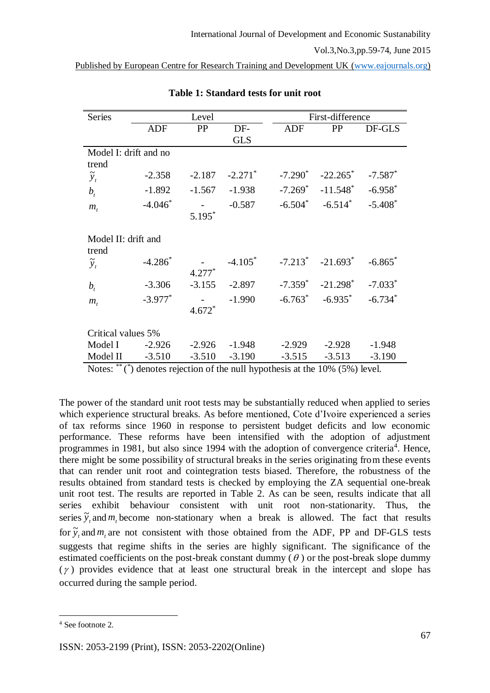| Level                 |                                                                               |                                  | First-difference                              |                                    |                                                                                                                                                                          |
|-----------------------|-------------------------------------------------------------------------------|----------------------------------|-----------------------------------------------|------------------------------------|--------------------------------------------------------------------------------------------------------------------------------------------------------------------------|
| <b>ADF</b>            | PP                                                                            | DF-                              | <b>ADF</b>                                    | <b>PP</b>                          | DF-GLS                                                                                                                                                                   |
|                       |                                                                               | <b>GLS</b>                       |                                               |                                    |                                                                                                                                                                          |
| Model I: drift and no |                                                                               |                                  |                                               |                                    |                                                                                                                                                                          |
|                       |                                                                               |                                  |                                               |                                    |                                                                                                                                                                          |
|                       |                                                                               |                                  |                                               |                                    | $-7.587$ <sup>*</sup>                                                                                                                                                    |
| $-1.892$              | $-1.567$                                                                      | $-1.938$                         | $-7.269$ <sup>*</sup>                         |                                    | $-6.958$ <sup>*</sup>                                                                                                                                                    |
| $-4.046*$             |                                                                               | $-0.587$                         |                                               |                                    | $-5.408*$                                                                                                                                                                |
|                       | $5.195*$                                                                      |                                  |                                               |                                    |                                                                                                                                                                          |
|                       |                                                                               |                                  |                                               |                                    |                                                                                                                                                                          |
|                       |                                                                               |                                  |                                               |                                    |                                                                                                                                                                          |
| $-4.286*$             |                                                                               | $-4.105*$                        |                                               |                                    | $-6.865$ *                                                                                                                                                               |
|                       | $4.277*$                                                                      |                                  |                                               |                                    |                                                                                                                                                                          |
| $-3.306$              | $-3.155$                                                                      | $-2.897$                         |                                               |                                    | $-7.033*$                                                                                                                                                                |
| $-3.977$ <sup>*</sup> |                                                                               | $-1.990$                         |                                               |                                    | $-6.734*$                                                                                                                                                                |
|                       | $4.672*$                                                                      |                                  |                                               |                                    |                                                                                                                                                                          |
|                       |                                                                               |                                  |                                               |                                    |                                                                                                                                                                          |
|                       |                                                                               |                                  |                                               |                                    | $-1.948$                                                                                                                                                                 |
|                       |                                                                               |                                  |                                               |                                    | $-3.190$                                                                                                                                                                 |
|                       | $-2.358$<br>Model II: drift and<br>Critical values 5%<br>$-2.926$<br>$-3.510$ | $-2.187$<br>$-2.926$<br>$-3.510$ | $-2.271$ <sup>*</sup><br>$-1.948$<br>$-3.190$ | $-7.290^*$<br>$-2.929$<br>$-3.515$ | $-22.265$ *<br>$-11.548$ <sup>*</sup><br>$-6.504^* -6.514^*$<br>$-7.213$ $-21.693$ $-21.693$<br>$-21.298^*$<br>$-7.359^*$<br>$-6.763^* -6.935^*$<br>$-2.928$<br>$-3.513$ |

**Table 1: Standard tests for unit root** 

The power of the standard unit root tests may be substantially reduced when applied to series which experience structural breaks. As before mentioned, Cote d'Ivoire experienced a series of tax reforms since 1960 in response to persistent budget deficits and low economic performance. These reforms have been intensified with the adoption of adjustment programmes in 1981, but also since 1994 with the adoption of convergence criteria<sup>4</sup>. Hence, there might be some possibility of structural breaks in the series originating from these events that can render unit root and cointegration tests biased. Therefore, the robustness of the results obtained from standard tests is checked by employing the ZA sequential one-break unit root test. The results are reported in Table 2. As can be seen, results indicate that all series exhibit behaviour consistent with unit root non-stationarity. Thus, the series  $\tilde{y}_t$  and  $m_t$  become non-stationary when a break is allowed. The fact that results for  $\tilde{y}_t$  and  $m_t$  are not consistent with those obtained from the ADF, PP and DF-GLS tests suggests that regime shifts in the series are highly significant. The significance of the estimated coefficients on the post-break constant dummy  $(\theta)$  or the post-break slope dummy  $(\gamma)$  provides evidence that at least one structural break in the intercept and slope has occurred during the sample period.

Notes: \*\* (\*) denotes rejection of the null hypothesis at the 10% (5%) level.

<sup>1</sup> <sup>4</sup> See footnote 2.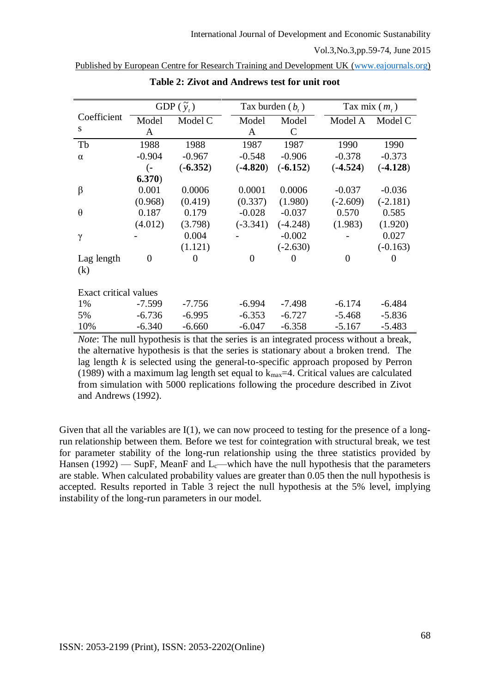|                       |                | GDP $(\tilde{y}_t)$ | Tax burden $(b, )$ |               |            | Tax mix $(m_t)$ |
|-----------------------|----------------|---------------------|--------------------|---------------|------------|-----------------|
| Coefficient           | Model          | Model C             | Model              | Model         | Model A    | Model C         |
| S                     | A              |                     | A                  | $\mathcal{C}$ |            |                 |
| Tb                    | 1988           | 1988                | 1987               | 1987          | 1990       | 1990            |
| $\alpha$              | $-0.904$       | $-0.967$            | $-0.548$           | $-0.906$      | $-0.378$   | $-0.373$        |
|                       | (−             | $(-6.352)$          | $(-4.820)$         | $(-6.152)$    | $(-4.524)$ | $(-4.128)$      |
|                       | 6.370)         |                     |                    |               |            |                 |
| $\beta$               | 0.001          | 0.0006              | 0.0001             | 0.0006        | $-0.037$   | $-0.036$        |
|                       | (0.968)        | (0.419)             | (0.337)            | (1.980)       | $(-2.609)$ | $(-2.181)$      |
| $\theta$              | 0.187          | 0.179               | $-0.028$           | $-0.037$      | 0.570      | 0.585           |
|                       | (4.012)        | (3.798)             | $(-3.341)$         | $(-4.248)$    | (1.983)    | (1.920)         |
| $\gamma$              |                | 0.004               |                    | $-0.002$      |            | 0.027           |
|                       |                | (1.121)             |                    | $(-2.630)$    |            | $(-0.163)$      |
| Lag length            | $\overline{0}$ | $\overline{0}$      | $\theta$           | $\theta$      | $\theta$   | $\Omega$        |
| (k)                   |                |                     |                    |               |            |                 |
|                       |                |                     |                    |               |            |                 |
| Exact critical values |                |                     |                    |               |            |                 |
| 1%                    | $-7.599$       | $-7.756$            | $-6.994$           | $-7.498$      | $-6.174$   | $-6.484$        |
| 5%                    | $-6.736$       | $-6.995$            | $-6.353$           | $-6.727$      | $-5.468$   | $-5.836$        |
| 10%                   | $-6.340$       | $-6.660$            | $-6.047$           | $-6.358$      | $-5.167$   | $-5.483$        |

Published by European Centre for Research Training and Development UK [\(www.eajournals.org\)](http://www.eajournals.org/)

**Table 2: Zivot and Andrews test for unit root**

*Note*: The null hypothesis is that the series is an integrated process without a break, the alternative hypothesis is that the series is stationary about a broken trend. The lag length *k* is selected using the general-to-specific approach proposed by Perron (1989) with a maximum lag length set equal to  $k_{max}=4$ . Critical values are calculated from simulation with 5000 replications following the procedure described in Zivot and Andrews (1992).

Given that all the variables are I(1), we can now proceed to testing for the presence of a longrun relationship between them. Before we test for cointegration with structural break, we test for parameter stability of the long-run relationship using the three statistics provided by Hansen (1992) — SupF, MeanF and L<sub>c</sub>—which have the null hypothesis that the parameters are stable. When calculated probability values are greater than 0.05 then the null hypothesis is accepted. Results reported in Table 3 reject the null hypothesis at the 5% level, implying instability of the long-run parameters in our model.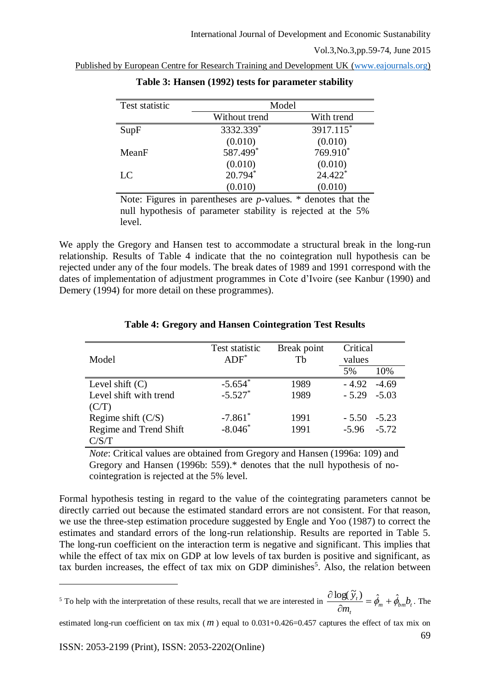| Published by European Centre for Research Training and Development UK (www.eajournals.org) |
|--------------------------------------------------------------------------------------------|
|--------------------------------------------------------------------------------------------|

| Test statistic | Model         |            |
|----------------|---------------|------------|
|                | Without trend | With trend |
| SupF           | 3332.339*     | 3917.115*  |
|                | (0.010)       | (0.010)    |
| MeanF          | 587.499*      | 769.910*   |
|                | (0.010)       | (0.010)    |
| LC             | 20.794*       | 24.422*    |
|                | (0.010)       | (0.010)    |

| Table 3: Hansen (1992) tests for parameter stability |  |
|------------------------------------------------------|--|
|                                                      |  |

Note: Figures in parentheses are *p*-values. \* denotes that the null hypothesis of parameter stability is rejected at the 5% level.

We apply the Gregory and Hansen test to accommodate a structural break in the long-run relationship. Results of Table 4 indicate that the no cointegration null hypothesis can be rejected under any of the four models. The break dates of 1989 and 1991 correspond with the dates of implementation of adjustment programmes in Cote d'Ivoire (see Kanbur (1990) and Demery (1994) for more detail on these programmes).

| Model                  | Test statistic<br>$ADF^*$ | Break point<br>Th | Critical<br>values |         |
|------------------------|---------------------------|-------------------|--------------------|---------|
|                        |                           |                   | 5%                 | 10%     |
| Level shift $(C)$      | $-5.654$ <sup>*</sup>     | 1989              | $-4.92$            | $-4.69$ |
| Level shift with trend | $-5.527$ <sup>*</sup>     | 1989              | $-5.29 -5.03$      |         |
| (C/T)                  |                           |                   |                    |         |
| Regime shift $(C/S)$   | $-7.861$ <sup>*</sup>     | 1991              | $-5.50$            | $-5.23$ |
| Regime and Trend Shift | $-8.046*$                 | 1991              | $-5.96 - 5.72$     |         |
| C/S/T                  |                           |                   |                    |         |

## **Table 4: Gregory and Hansen Cointegration Test Results**

*Note*: Critical values are obtained from Gregory and Hansen (1996a: 109) and Gregory and Hansen (1996b: 559).\* denotes that the null hypothesis of nocointegration is rejected at the 5% level.

Formal hypothesis testing in regard to the value of the cointegrating parameters cannot be directly carried out because the estimated standard errors are not consistent. For that reason, we use the three-step estimation procedure suggested by Engle and Yoo (1987) to correct the estimates and standard errors of the long-run relationship. Results are reported in Table 5. The long-run coefficient on the interaction term is negative and significant. This implies that while the effect of tax mix on GDP at low levels of tax burden is positive and significant, as tax burden increases, the effect of tax mix on GDP diminishes<sup>5</sup>. Also, the relation between

69 estimated long-run coefficient on tax mix (*m*) equal to 0.031+0.426=0.457 captures the effect of tax mix on

<u>.</u>

<sup>&</sup>lt;sup>5</sup> To help with the interpretation of these results, recall that we are interested in  $\frac{1}{2} \phi_m - \phi_m + \phi_{bm} b_n$ *t*  $\frac{t}{r} = \hat{\phi}_m + \hat{\phi}_{hm}b$ *m*  $\frac{\log(\widetilde{y}_t)}{2} = \hat{\phi}_m + \hat{\phi}_h$  $\widehat{o}$  $\frac{\partial \log(\widetilde{y}_t)}{\partial \widetilde{y}_t} = \hat{\phi}_m + \hat{\phi}_{hm} b_t$ . The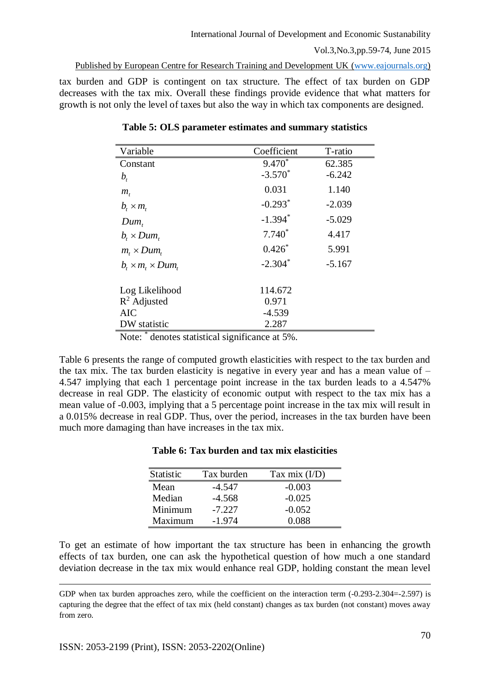tax burden and GDP is contingent on tax structure. The effect of tax burden on GDP decreases with the tax mix. Overall these findings provide evidence that what matters for growth is not only the level of taxes but also the way in which tax components are designed.

| Variable                                        | Coefficient | T-ratio  |
|-------------------------------------------------|-------------|----------|
| Constant                                        | $9.470*$    | 62.385   |
| $b_{i}$                                         | $-3.570^*$  | $-6.242$ |
| $m_{\scriptscriptstyle t}$                      | 0.031       | 1.140    |
| $b_{t} \times m_{t}$                            | $-0.293*$   | $-2.039$ |
| $Dum_{t}$                                       | $-1.394*$   | $-5.029$ |
| $b_{i} \times Dum_{i}$                          | $7.740*$    | 4.417    |
| $m_{\star} \times Dum_{\star}$                  | $0.426*$    | 5.991    |
| $b_{\iota} \times m_{\iota} \times Dum_{\iota}$ | $-2.304*$   | $-5.167$ |
|                                                 |             |          |
| Log Likelihood                                  | 114.672     |          |
| $R^2$ Adjusted                                  | 0.971       |          |
| <b>AIC</b>                                      | $-4.539$    |          |
| DW statistic                                    | 2.287       |          |

**Table 5: OLS parameter estimates and summary statistics**

Note: \* denotes statistical significance at 5%.

Table 6 presents the range of computed growth elasticities with respect to the tax burden and the tax mix. The tax burden elasticity is negative in every year and has a mean value of – 4.547 implying that each 1 percentage point increase in the tax burden leads to a 4.547% decrease in real GDP. The elasticity of economic output with respect to the tax mix has a mean value of -0.003, implying that a 5 percentage point increase in the tax mix will result in a 0.015% decrease in real GDP. Thus, over the period, increases in the tax burden have been much more damaging than have increases in the tax mix.

| <b>Statistic</b> | Tax burden | Tax mix $(I/D)$ |
|------------------|------------|-----------------|
| Mean             | -4.547     | $-0.003$        |
| Median           | $-4.568$   | $-0.025$        |
| Minimum          | $-7.227$   | $-0.052$        |
| Maximum          | $-1.974$   | 0.088           |

To get an estimate of how important the tax structure has been in enhancing the growth effects of tax burden, one can ask the hypothetical question of how much a one standard deviation decrease in the tax mix would enhance real GDP, holding constant the mean level

<u>.</u>

GDP when tax burden approaches zero, while the coefficient on the interaction term (-0.293-2.304=-2.597) is capturing the degree that the effect of tax mix (held constant) changes as tax burden (not constant) moves away from zero.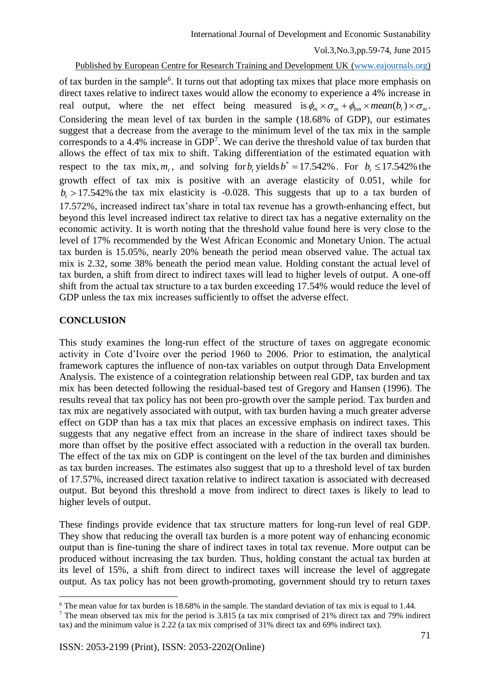## Published by European Centre for Research Training and Development UK [\(www.eajournals.org\)](http://www.eajournals.org/)

of tax burden in the sample<sup>6</sup>. It turns out that adopting tax mixes that place more emphasis on direct taxes relative to indirect taxes would allow the economy to experience a 4% increase in real output, where the net effect being measured is  $\phi_m \times \sigma_m + \phi_{bm} \times mean(b_t) \times \sigma_m$ . Considering the mean level of tax burden in the sample (18.68% of GDP), our estimates suggest that a decrease from the average to the minimum level of the tax mix in the sample corresponds to a  $4.4\%$  increase in GDP<sup>7</sup>. We can derive the threshold value of tax burden that allows the effect of tax mix to shift. Taking differentiation of the estimated equation with respect to the tax mix,  $m_t$ , and solving for  $b_t$  yields  $b^* = 17.542\%$ . For  $b_t \le 17.542\%$  the growth effect of tax mix is positive with an average elasticity of 0.051, while for  $b<sub>t</sub> > 17.542\%$  the tax mix elasticity is -0.028. This suggests that up to a tax burden of 17.572%, increased indirect tax'share in total tax revenue has a growth-enhancing effect, but beyond this level increased indirect tax relative to direct tax has a negative externality on the economic activity. It is worth noting that the threshold value found here is very close to the level of 17% recommended by the West African Economic and Monetary Union. The actual tax burden is 15.05%, nearly 20% beneath the period mean observed value. The actual tax mix is 2.32, some 38% beneath the period mean value. Holding constant the actual level of tax burden, a shift from direct to indirect taxes will lead to higher levels of output. A one-off shift from the actual tax structure to a tax burden exceeding 17.54% would reduce the level of GDP unless the tax mix increases sufficiently to offset the adverse effect.

## **CONCLUSION**

<u>.</u>

This study examines the long-run effect of the structure of taxes on aggregate economic activity in Cote d'Ivoire over the period 1960 to 2006. Prior to estimation, the analytical framework captures the influence of non-tax variables on output through Data Envelopment Analysis. The existence of a cointegration relationship between real GDP, tax burden and tax mix has been detected following the residual-based test of Gregory and Hansen (1996). The results reveal that tax policy has not been pro-growth over the sample period. Tax burden and tax mix are negatively associated with output, with tax burden having a much greater adverse effect on GDP than has a tax mix that places an excessive emphasis on indirect taxes. This suggests that any negative effect from an increase in the share of indirect taxes should be more than offset by the positive effect associated with a reduction in the overall tax burden. The effect of the tax mix on GDP is contingent on the level of the tax burden and diminishes as tax burden increases. The estimates also suggest that up to a threshold level of tax burden of 17.57%, increased direct taxation relative to indirect taxation is associated with decreased output. But beyond this threshold a move from indirect to direct taxes is likely to lead to higher levels of output.

These findings provide evidence that tax structure matters for long-run level of real GDP. They show that reducing the overall tax burden is a more potent way of enhancing economic output than is fine-tuning the share of indirect taxes in total tax revenue. More output can be produced without increasing the tax burden. Thus, holding constant the actual tax burden at its level of 15%, a shift from direct to indirect taxes will increase the level of aggregate output. As tax policy has not been growth-promoting, government should try to return taxes

<sup>6</sup> The mean value for tax burden is 18.68% in the sample. The standard deviation of tax mix is equal to 1.44.

<sup>7</sup> The mean observed tax mix for the period is 3.815 (a tax mix comprised of 21% direct tax and 79% indirect tax) and the minimum value is 2.22 (a tax mix comprised of 31% direct tax and 69% indirect tax).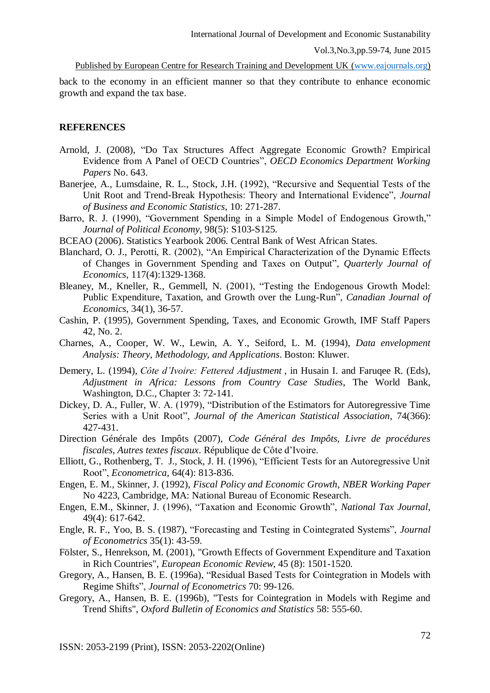International Journal of Development and Economic Sustanability

Vol.3,No.3,pp.59-74, June 2015

Published by European Centre for Research Training and Development UK [\(www.eajournals.org\)](http://www.eajournals.org/)

back to the economy in an efficient manner so that they contribute to enhance economic growth and expand the tax base.

### **REFERENCES**

- Arnold, J. (2008), "Do Tax Structures Affect Aggregate Economic Growth? Empirical Evidence from A Panel of OECD Countries", *OECD Economics Department Working Papers* No. 643.
- Banerjee, A., Lumsdaine, R. L., Stock, J.H. (1992), "Recursive and Sequential Tests of the Unit Root and Trend-Break Hypothesis: Theory and International Evidence", *Journal of Business and Economic Statistics*, 10: 271-287.
- Barro, R. J. (1990), "Government Spending in a Simple Model of Endogenous Growth," *Journal of Political Economy,* 98(5): S103-S125.
- BCEAO (2006). Statistics Yearbook 2006. Central Bank of West African States.
- Blanchard, O. J., Perotti, R. (2002), "An Empirical Characterization of the Dynamic Effects of Changes in Government Spending and Taxes on Output", *Quarterly Journal of Economics,* 117(4):1329-1368.
- Bleaney, M., Kneller, R., Gemmell, N. (2001), "Testing the Endogenous Growth Model: Public Expenditure, Taxation, and Growth over the Lung-Run", *Canadian Journal of Economics*, 34(1), 36-57.
- Cashin, P. (1995), Government Spending, Taxes, and Economic Growth, IMF Staff Papers 42, No. 2.
- Charnes, A., Cooper, W. W., Lewin, A. Y., Seiford, L. M. (1994), *Data envelopment Analysis: Theory, Methodology, and Applications*. Boston: Kluwer.
- Demery, L. (1994), *Côte d'Ivoire: Fettered Adjustment* , in Husain I. and Faruqee R. (Eds), *Adjustment in Africa: Lessons from Country Case Studies*, The World Bank, Washington, D.C., Chapter 3: 72-141.
- Dickey, D. A., Fuller, W. A. (1979), "Distribution of the Estimators for Autoregressive Time Series with a Unit Root", *Journal of the American Statistical Association*, 74(366): 427-431.
- Direction Générale des Impôts (2007), *Code Général des Impôts, Livre de procédures fiscales, Autres textes fiscaux*. République de Côte d'Ivoire.
- Elliott, G., Rothenberg, T. J., Stock, J. H. (1996), "Efficient Tests for an Autoregressive Unit Root", *Econometrica*, 64(4): 813-836.
- Engen, E. M., Skinner, J. (1992), *Fiscal Policy and Economic Growth*, *NBER Working Paper* No 4223, Cambridge, MA: National Bureau of Economic Research.
- Engen, E.M., Skinner, J. (1996), "Taxation and Economic Growth", *National Tax Journal*, 49(4): 617-642.
- Engle, R. F., Yoo, B. S. (1987), "Forecasting and Testing in Cointegrated Systems", *Journal of Econometrics* 35(1): 43-59.
- Fölster, S., Henrekson, M. (2001), "Growth Effects of Government Expenditure and Taxation in Rich Countries", *European Economic Review*, 45 (8): 1501-1520.
- Gregory, A., Hansen, B. E. (1996a), "Residual Based Tests for Cointegration in Models with Regime Shifts", *Journal of Econometrics* 70: 99-126.
- Gregory, A., Hansen, B. E. (1996b), "Tests for Cointegration in Models with Regime and Trend Shifts", *Oxford Bulletin of Economics and Statistics* 58: 555-60.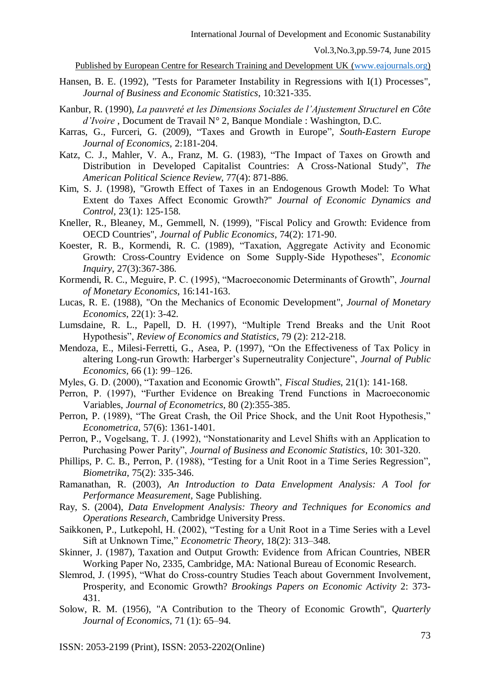- Hansen, B. E. (1992), "Tests for Parameter Instability in Regressions with I(1) Processes", *Journal of Business and Economic Statistics*, 10:321-335.
- Kanbur, R. (1990), *La pauvreté et les Dimensions Sociales de l'Ajustement Structurel en Côte d'Ivoire* , Document de Travail N° 2, Banque Mondiale : Washington, D.C.
- Karras, G., Furceri, G. (2009), "Taxes and Growth in Europe", *South-Eastern Europe Journal of Economics,* 2:181-204.
- Katz, C. J., Mahler, V. A., Franz, M. G. (1983), "The Impact of Taxes on Growth and Distribution in Developed Capitalist Countries: A Cross-National Study", *The American Political Science Review,* 77(4): 871-886.
- Kim, S. J. (1998), "Growth Effect of Taxes in an Endogenous Growth Model: To What Extent do Taxes Affect Economic Growth?" *Journal of Economic Dynamics and Control*, 23(1): 125-158.
- Kneller, R., Bleaney, M., Gemmell, N. (1999), "Fiscal Policy and Growth: Evidence from OECD Countries", *Journal of Public Economics*, 74(2): 171-90.
- Koester, R. B., Kormendi, R. C. (1989), "Taxation, Aggregate Activity and Economic Growth: Cross-Country Evidence on Some Supply-Side Hypotheses", *Economic Inquiry*, 27(3):367-386.
- Kormendi, R. C., Meguire, P. C. (1995), "Macroeconomic Determinants of Growth", *Journal of Monetary Economics*, 16:141-163.
- Lucas, R. E. (1988), "On the Mechanics of Economic Development", *Journal of Monetary Economics*, 22(1): 3-42.
- Lumsdaine, R. L., Papell, D. H. (1997), "Multiple Trend Breaks and the Unit Root Hypothesis", *Review of Economics and Statistics*, 79 (2): 212-218.
- Mendoza, E., Milesi-Ferretti, G., Asea, P. (1997), "On the Effectiveness of Tax Policy in altering Long-run Growth: Harberger's Superneutrality Conjecture", *Journal of Public Economics,* 66 (1): 99–126.
- Myles, G. D. (2000), "Taxation and Economic Growth", *Fiscal Studies*, 21(1): 141-168.
- Perron, P. (1997), "Further Evidence on Breaking Trend Functions in Macroeconomic Variables, *Journal of Econometrics*, 80 (2):355-385.
- Perron, P. (1989), "The Great Crash, the Oil Price Shock, and the Unit Root Hypothesis," *Econometrica*, 57(6): 1361-1401.
- Perron, P., Vogelsang, T. J. (1992), "Nonstationarity and Level Shifts with an Application to Purchasing Power Parity", *Journal of Business and Economic Statistics*, 10: 301-320.
- Phillips, P. C. B., Perron, P. (1988), "Testing for a Unit Root in a Time Series Regression", *Biometrika*, 75(2): 335-346.
- Ramanathan, R. (2003), *An Introduction to Data Envelopment Analysis: A Tool for Performance Measurement,* Sage Publishing.
- Ray, S. (2004), *Data Envelopment Analysis: Theory and Techniques for Economics and Operations Research*, Cambridge University Press.
- Saikkonen, P., Lutkepohl, H. (2002), "Testing for a Unit Root in a Time Series with a Level Sift at Unknown Time," *Econometric Theory,* 18(2): 313–348.
- Skinner, J. (1987), Taxation and Output Growth: Evidence from African Countries, NBER Working Paper No, 2335, Cambridge, MA: National Bureau of Economic Research.
- Slemrod, J. (1995), "What do Cross-country Studies Teach about Government Involvement, Prosperity, and Economic Growth? *Brookings Papers on Economic Activity* 2: 373- 431.
- Solow, R. M. (1956), "A Contribution to the Theory of Economic Growth", *Quarterly Journal of Economics*, 71 (1): 65–94.

ISSN: 2053-2199 (Print), ISSN: 2053-2202(Online)